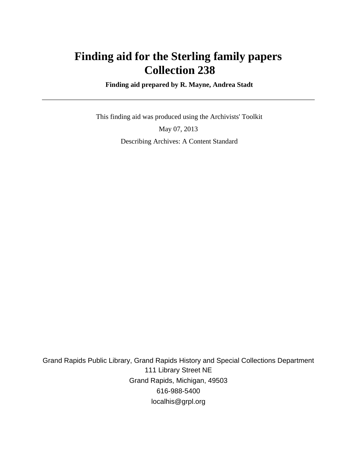# **Finding aid for the Sterling family papers Collection 238**

 **Finding aid prepared by R. Mayne, Andrea Stadt**

 This finding aid was produced using the Archivists' Toolkit May 07, 2013 Describing Archives: A Content Standard

Grand Rapids Public Library, Grand Rapids History and Special Collections Department 111 Library Street NE Grand Rapids, Michigan, 49503 616-988-5400 localhis@grpl.org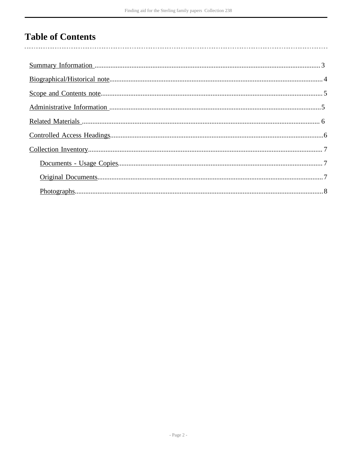## **Table of Contents**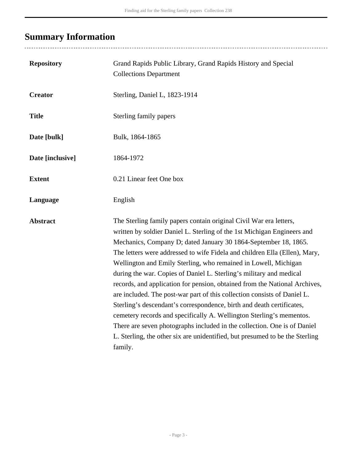# <span id="page-2-0"></span>**Summary Information**

| <b>Repository</b> | Grand Rapids Public Library, Grand Rapids History and Special<br><b>Collections Department</b>                                                                                                                                                                                                                                                                                                                                                                                                                                                                                                                                                                                                                                                                                                                                                                                                                             |
|-------------------|----------------------------------------------------------------------------------------------------------------------------------------------------------------------------------------------------------------------------------------------------------------------------------------------------------------------------------------------------------------------------------------------------------------------------------------------------------------------------------------------------------------------------------------------------------------------------------------------------------------------------------------------------------------------------------------------------------------------------------------------------------------------------------------------------------------------------------------------------------------------------------------------------------------------------|
| <b>Creator</b>    | Sterling, Daniel L, 1823-1914                                                                                                                                                                                                                                                                                                                                                                                                                                                                                                                                                                                                                                                                                                                                                                                                                                                                                              |
| <b>Title</b>      | Sterling family papers                                                                                                                                                                                                                                                                                                                                                                                                                                                                                                                                                                                                                                                                                                                                                                                                                                                                                                     |
| Date [bulk]       | Bulk, 1864-1865                                                                                                                                                                                                                                                                                                                                                                                                                                                                                                                                                                                                                                                                                                                                                                                                                                                                                                            |
| Date [inclusive]  | 1864-1972                                                                                                                                                                                                                                                                                                                                                                                                                                                                                                                                                                                                                                                                                                                                                                                                                                                                                                                  |
| <b>Extent</b>     | 0.21 Linear feet One box                                                                                                                                                                                                                                                                                                                                                                                                                                                                                                                                                                                                                                                                                                                                                                                                                                                                                                   |
| Language          | English                                                                                                                                                                                                                                                                                                                                                                                                                                                                                                                                                                                                                                                                                                                                                                                                                                                                                                                    |
| <b>Abstract</b>   | The Sterling family papers contain original Civil War era letters,<br>written by soldier Daniel L. Sterling of the 1st Michigan Engineers and<br>Mechanics, Company D; dated January 30 1864-September 18, 1865.<br>The letters were addressed to wife Fidela and children Ella (Ellen), Mary,<br>Wellington and Emily Sterling, who remained in Lowell, Michigan<br>during the war. Copies of Daniel L. Sterling's military and medical<br>records, and application for pension, obtained from the National Archives,<br>are included. The post-war part of this collection consists of Daniel L.<br>Sterling's descendant's correspondence, birth and death certificates,<br>cemetery records and specifically A. Wellington Sterling's mementos.<br>There are seven photographs included in the collection. One is of Daniel<br>L. Sterling, the other six are unidentified, but presumed to be the Sterling<br>family. |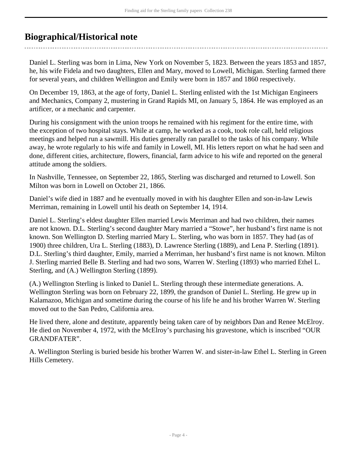## <span id="page-3-0"></span>**Biographical/Historical note**

Daniel L. Sterling was born in Lima, New York on November 5, 1823. Between the years 1853 and 1857, he, his wife Fidela and two daughters, Ellen and Mary, moved to Lowell, Michigan. Sterling farmed there for several years, and children Wellington and Emily were born in 1857 and 1860 respectively.

On December 19, 1863, at the age of forty, Daniel L. Sterling enlisted with the 1st Michigan Engineers and Mechanics, Company 2, mustering in Grand Rapids MI, on January 5, 1864. He was employed as an artificer, or a mechanic and carpenter.

During his consignment with the union troops he remained with his regiment for the entire time, with the exception of two hospital stays. While at camp, he worked as a cook, took role call, held religious meetings and helped run a sawmill. His duties generally ran parallel to the tasks of his company. While away, he wrote regularly to his wife and family in Lowell, MI. His letters report on what he had seen and done, different cities, architecture, flowers, financial, farm advice to his wife and reported on the general attitude among the soldiers.

In Nashville, Tennessee, on September 22, 1865, Sterling was discharged and returned to Lowell. Son Milton was born in Lowell on October 21, 1866.

Daniel's wife died in 1887 and he eventually moved in with his daughter Ellen and son-in-law Lewis Merriman, remaining in Lowell until his death on September 14, 1914.

Daniel L. Sterling's eldest daughter Ellen married Lewis Merriman and had two children, their names are not known. D.L. Sterling's second daughter Mary married a "Stowe", her husband's first name is not known. Son Wellington D. Sterling married Mary L. Sterling, who was born in 1857. They had (as of 1900) three children, Ura L. Sterling (1883), D. Lawrence Sterling (1889), and Lena P. Sterling (1891). D.L. Sterling's third daughter, Emily, married a Merriman, her husband's first name is not known. Milton J. Sterling married Belle B. Sterling and had two sons, Warren W. Sterling (1893) who married Ethel L. Sterling, and (A.) Wellington Sterling (1899).

(A.) Wellington Sterling is linked to Daniel L. Sterling through these intermediate generations. A. Wellington Sterling was born on February 22, 1899, the grandson of Daniel L. Sterling. He grew up in Kalamazoo, Michigan and sometime during the course of his life he and his brother Warren W. Sterling moved out to the San Pedro, California area.

He lived there, alone and destitute, apparently being taken care of by neighbors Dan and Renee McElroy. He died on November 4, 1972, with the McElroy's purchasing his gravestone, which is inscribed "OUR GRANDFATER".

A. Wellington Sterling is buried beside his brother Warren W. and sister-in-law Ethel L. Sterling in Green Hills Cemetery.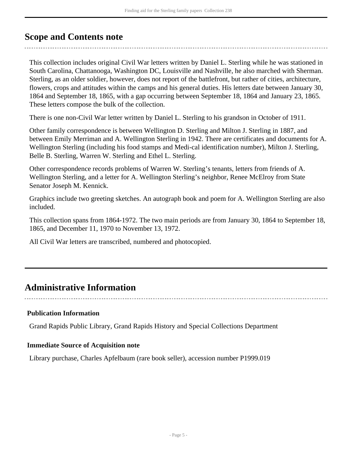### <span id="page-4-0"></span>**Scope and Contents note**

This collection includes original Civil War letters written by Daniel L. Sterling while he was stationed in South Carolina, Chattanooga, Washington DC, Louisville and Nashville, he also marched with Sherman. Sterling, as an older soldier, however, does not report of the battlefront, but rather of cities, architecture, flowers, crops and attitudes within the camps and his general duties. His letters date between January 30, 1864 and September 18, 1865, with a gap occurring between September 18, 1864 and January 23, 1865. These letters compose the bulk of the collection.

There is one non-Civil War letter written by Daniel L. Sterling to his grandson in October of 1911.

Other family correspondence is between Wellington D. Sterling and Milton J. Sterling in 1887, and between Emily Merriman and A. Wellington Sterling in 1942. There are certificates and documents for A. Wellington Sterling (including his food stamps and Medi-cal identification number), Milton J. Sterling, Belle B. Sterling, Warren W. Sterling and Ethel L. Sterling.

Other correspondence records problems of Warren W. Sterling's tenants, letters from friends of A. Wellington Sterling, and a letter for A. Wellington Sterling's neighbor, Renee McElroy from State Senator Joseph M. Kennick.

Graphics include two greeting sketches. An autograph book and poem for A. Wellington Sterling are also included.

This collection spans from 1864-1972. The two main periods are from January 30, 1864 to September 18, 1865, and December 11, 1970 to November 13, 1972.

All Civil War letters are transcribed, numbered and photocopied.

## <span id="page-4-1"></span>**Administrative Information**

#### **Publication Information**

Grand Rapids Public Library, Grand Rapids History and Special Collections Department

### **Immediate Source of Acquisition note**

Library purchase, Charles Apfelbaum (rare book seller), accession number P1999.019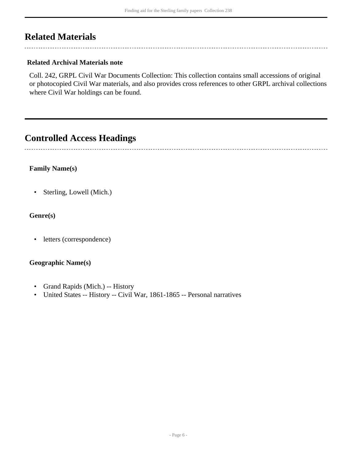## <span id="page-5-0"></span>**Related Materials**

### **Related Archival Materials note**

Coll. 242, GRPL Civil War Documents Collection: This collection contains small accessions of original or photocopied Civil War materials, and also provides cross references to other GRPL archival collections where Civil War holdings can be found.

### <span id="page-5-1"></span>**Controlled Access Headings**

### **Family Name(s)**

• Sterling, Lowell (Mich.)

### **Genre(s)**

• letters (correspondence)

### **Geographic Name(s)**

- Grand Rapids (Mich.) -- History
- United States -- History -- Civil War, 1861-1865 -- Personal narratives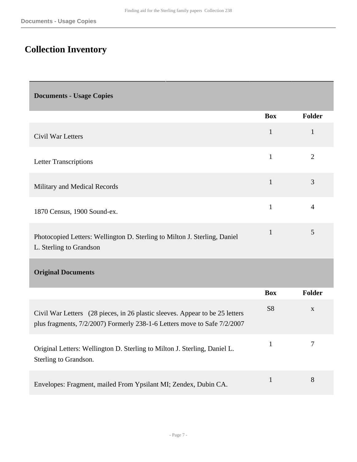# <span id="page-6-0"></span>**Collection Inventory**

<span id="page-6-2"></span><span id="page-6-1"></span>

| <b>Documents - Usage Copies</b>                                                                                                                          |                |                |
|----------------------------------------------------------------------------------------------------------------------------------------------------------|----------------|----------------|
|                                                                                                                                                          | <b>Box</b>     | Folder         |
| Civil War Letters                                                                                                                                        | $\mathbf{1}$   | $\mathbf{1}$   |
| <b>Letter Transcriptions</b>                                                                                                                             | $\mathbf{1}$   | $\overline{2}$ |
| Military and Medical Records                                                                                                                             | $\mathbf{1}$   | 3              |
| 1870 Census, 1900 Sound-ex.                                                                                                                              | $\mathbf{1}$   | $\overline{4}$ |
| Photocopied Letters: Wellington D. Sterling to Milton J. Sterling, Daniel<br>L. Sterling to Grandson                                                     | $\mathbf{1}$   | 5              |
| <b>Original Documents</b>                                                                                                                                |                |                |
|                                                                                                                                                          | <b>Box</b>     | Folder         |
| Civil War Letters (28 pieces, in 26 plastic sleeves. Appear to be 25 letters<br>plus fragments, 7/2/2007) Formerly 238-1-6 Letters move to Safe 7/2/2007 | S <sub>8</sub> | X              |
| Original Letters: Wellington D. Sterling to Milton J. Sterling, Daniel L.<br>Sterling to Grandson.                                                       | $\mathbf{1}$   | 7              |
| Envelopes: Fragment, mailed From Ypsilant MI; Zendex, Dubin CA.                                                                                          | $\mathbf{1}$   | 8              |